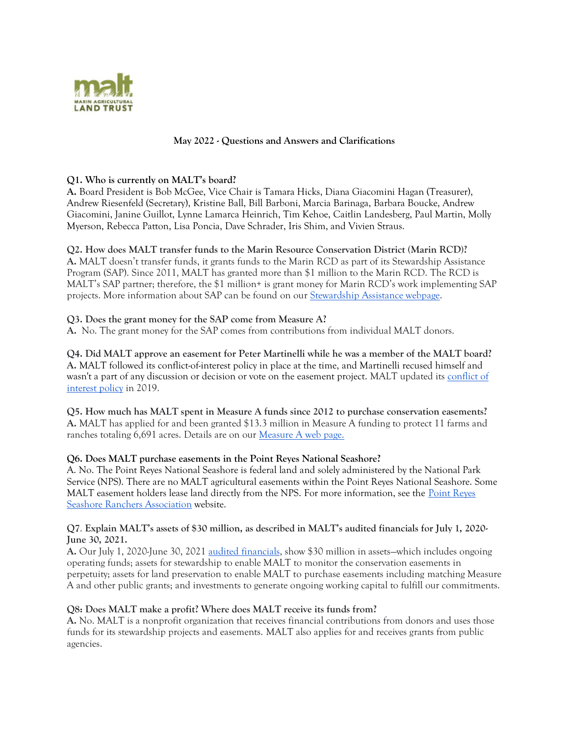

### **May 2022 - Questions and Answers and Clarifications**

#### **Q1. Who is currently on MALT's board?**

**A.** Board President is Bob McGee, Vice Chair is Tamara Hicks, Diana Giacomini Hagan (Treasurer), Andrew Riesenfeld (Secretary), Kristine Ball, Bill Barboni, Marcia Barinaga, Barbara Boucke, Andrew Giacomini, Janine Guillot, Lynne Lamarca Heinrich, Tim Kehoe, Caitlin Landesberg, Paul Martin, Molly Myerson, Rebecca Patton, Lisa Poncia, Dave Schrader, Iris Shim, and Vivien Straus.

#### **Q2. How does MALT transfer funds to the Marin Resource Conservation District (Marin RCD)?**

**A.** MALT doesn't transfer funds, it grants funds to the Marin RCD as part of its Stewardship Assistance Program (SAP). Since 2011, MALT has granted more than \$1 million to the Marin RCD. The RCD is MALT's SAP partner; therefore, the \$1 million+ is grant money for Marin RCD's work implementing SAP projects. More information about SAP can be found on our [Stewardship Assistance webpage.](http://malt.org/stewardship-assistance/)

#### **Q3. Does the grant money for the SAP come from Measure A?**

**A.** No. The grant money for the SAP comes from contributions from individual MALT donors.

**Q4. Did MALT approve an easement for Peter Martinelli while he was a member of the MALT board? A.** MALT followed its conflict-of-interest policy in place at the time, and Martinelli recused himself and wasn't a part of any discussion or decision or vote on the easement project. MALT updated its conflict of [interest policy](https://malt.org/wp-content/uploads/2021/02/2019-MALT-Conflict-of-Interest-Policy-.pdf) in 2019.

**Q5. How much has MALT spent in Measure A funds since 2012 to purchase conservation easements? A.** MALT has applied for and been granted \$13.3 million in Measure A funding to protect 11 farms and ranches totaling 6,691 acres. Details are on our [Measure A](https://malt.org/measure-a/) web page.

#### **Q6. Does MALT purchase easements in the Point Reyes National Seashore?**

A. No. The Point Reyes National Seashore is federal land and solely administered by the National Park Service (NPS). There are no MALT agricultural easements within the Point Reyes National Seashore. Some MALT easement holders lease land directly from the NPS. For more information, see the Point Reyes [Seashore Ranchers Association](http://www.prsranchersassociation.com/) website.

#### **Q7**. **Explain MALT's assets of \$30 million, as described in MALT's audited financials for July 1, 2020- June 30, 2021.**

**A.** Our July 1, 2020-June 30, 2021 [audited financials,](https://malt.org/wp-content/uploads/2022/03/MALT-2021-FS-Final-0304.pdf) show \$30 million in assets—which includes ongoing operating funds; assets for stewardship to enable MALT to monitor the conservation easements in perpetuity; assets for land preservation to enable MALT to purchase easements including matching Measure A and other public grants; and investments to generate ongoing working capital to fulfill our commitments.

#### **Q8: Does MALT make a profit? Where does MALT receive its funds from?**

**A.** No. MALT is a nonprofit organization that receives financial contributions from donors and uses those funds for its stewardship projects and easements. MALT also applies for and receives grants from public agencies.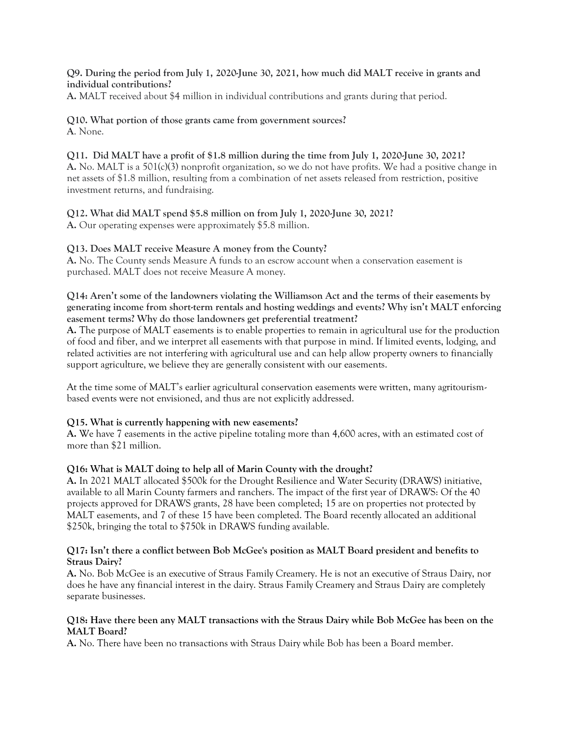#### **Q9. During the period from July 1, 2020-June 30, 2021, how much did MALT receive in grants and individual contributions?**

**A.** MALT received about \$4 million in individual contributions and grants during that period.

#### **Q10. What portion of those grants came from government sources? A**. None.

#### **Q11. Did MALT have a profit of \$1.8 million during the time from July 1, 2020-June 30, 2021? A.** No. MALT is a 501(c)(3) nonprofit organization, so we do not have profits. We had a positive change in net assets of \$1.8 million, resulting from a combination of net assets released from restriction, positive investment returns, and fundraising.

## **Q12. What did MALT spend \$5.8 million on from July 1, 2020-June 30, 2021?**

**A.** Our operating expenses were approximately \$5.8 million.

## **Q13. Does MALT receive Measure A money from the County?**

**A.** No. The County sends Measure A funds to an escrow account when a conservation easement is purchased. MALT does not receive Measure A money.

### **Q14: Aren't some of the landowners violating the Williamson Act and the terms of their easements by generating income from short-term rentals and hosting weddings and events? Why isn't MALT enforcing easement terms? Why do those landowners get preferential treatment?**

**A.** The purpose of MALT easements is to enable properties to remain in agricultural use for the production of food and fiber, and we interpret all easements with that purpose in mind. If limited events, lodging, and related activities are not interfering with agricultural use and can help allow property owners to financially support agriculture, we believe they are generally consistent with our easements.

At the time some of MALT's earlier agricultural conservation easements were written, many agritourismbased events were not envisioned, and thus are not explicitly addressed.

#### **Q15. What is currently happening with new easements?**

**A.** We have 7 easements in the active pipeline totaling more than 4,600 acres, with an estimated cost of more than \$21 million.

#### **Q16: What is MALT doing to help all of Marin County with the drought?**

**A.** In 2021 MALT allocated \$500k for the Drought Resilience and Water Security (DRAWS) initiative, available to all Marin County farmers and ranchers. The impact of the first year of DRAWS: Of the 40 projects approved for DRAWS grants, 28 have been completed; 15 are on properties not protected by MALT easements, and 7 of these 15 have been completed. The Board recently allocated an additional \$250k, bringing the total to \$750k in DRAWS funding available.

#### **Q17: Isn't there a conflict between Bob McGee's position as MALT Board president and benefits to Straus Dairy?**

**A.** No. Bob McGee is an executive of Straus Family Creamery. He is not an executive of Straus Dairy, nor does he have any financial interest in the dairy. Straus Family Creamery and Straus Dairy are completely separate businesses.

#### **Q18: Have there been any MALT transactions with the Straus Dairy while Bob McGee has been on the MALT Board?**

**A.** No. There have been no transactions with Straus Dairy while Bob has been a Board member.